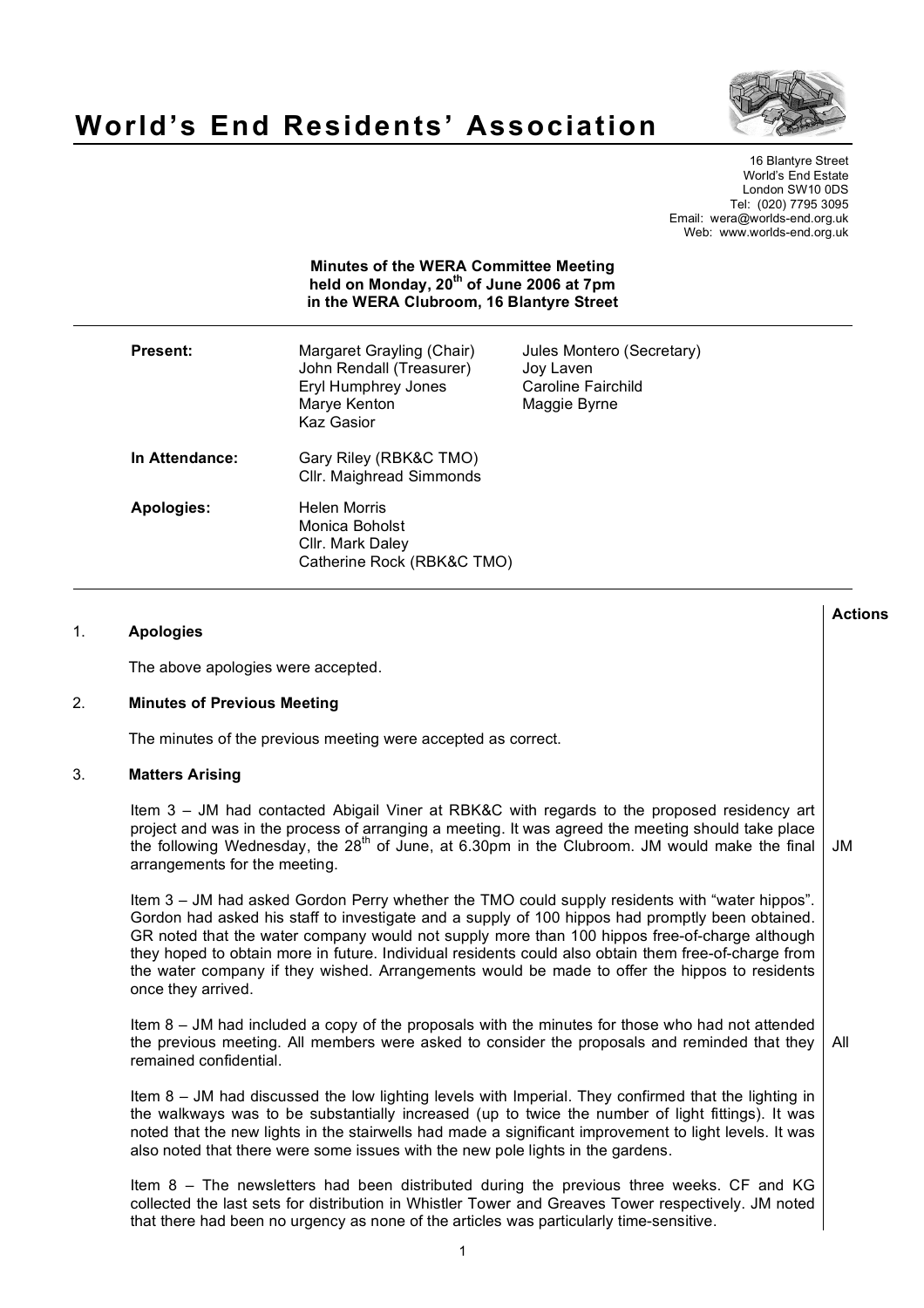

# **World's End Residents' Association**

16 Blantyre Street World's End Estate London SW10 0DS Tel: (020) 7795 3095 Email: wera@worlds-end.org.uk Web: www.worlds-end.org.uk

| <b>Minutes of the WERA Committee Meeting</b><br>held on Monday, 20 <sup>th</sup> of June 2006 at 7pm<br>in the WERA Clubroom, 16 Blantyre Street |                                                                                                                   |                                                                              |
|--------------------------------------------------------------------------------------------------------------------------------------------------|-------------------------------------------------------------------------------------------------------------------|------------------------------------------------------------------------------|
| <b>Present:</b>                                                                                                                                  | Margaret Grayling (Chair)<br>John Rendall (Treasurer)<br>Eryl Humphrey Jones<br>Marye Kenton<br><b>Kaz Gasior</b> | Jules Montero (Secretary)<br>Joy Laven<br>Caroline Fairchild<br>Maggie Byrne |
| In Attendance:                                                                                                                                   | Gary Riley (RBK&C TMO)<br>Cllr. Maighread Simmonds                                                                |                                                                              |
| Apologies:                                                                                                                                       | Helen Morris<br>Monica Boholst<br>Cllr. Mark Daley<br>Catherine Rock (RBK&C TMO)                                  |                                                                              |

## 1. **Apologies**

The above apologies were accepted.

## 2. **Minutes of Previous Meeting**

The minutes of the previous meeting were accepted as correct.

## 3. **Matters Arising**

Item 3 – JM had contacted Abigail Viner at RBK&C with regards to the proposed residency art project and was in the process of arranging a meeting. It was agreed the meeting should take place the following Wednesday, the 28th of June, at 6.30pm in the Clubroom. JM would make the final arrangements for the meeting. JM

Item 3 – JM had asked Gordon Perry whether the TMO could supply residents with "water hippos". Gordon had asked his staff to investigate and a supply of 100 hippos had promptly been obtained. GR noted that the water company would not supply more than 100 hippos free-of-charge although they hoped to obtain more in future. Individual residents could also obtain them free-of-charge from the water company if they wished. Arrangements would be made to offer the hippos to residents once they arrived.

Item 8 – JM had included a copy of the proposals with the minutes for those who had not attended the previous meeting. All members were asked to consider the proposals and reminded that they remained confidential. All

Item 8 – JM had discussed the low lighting levels with Imperial. They confirmed that the lighting in the walkways was to be substantially increased (up to twice the number of light fittings). It was noted that the new lights in the stairwells had made a significant improvement to light levels. It was also noted that there were some issues with the new pole lights in the gardens.

Item 8 – The newsletters had been distributed during the previous three weeks. CF and KG collected the last sets for distribution in Whistler Tower and Greaves Tower respectively. JM noted that there had been no urgency as none of the articles was particularly time-sensitive.

**Actions**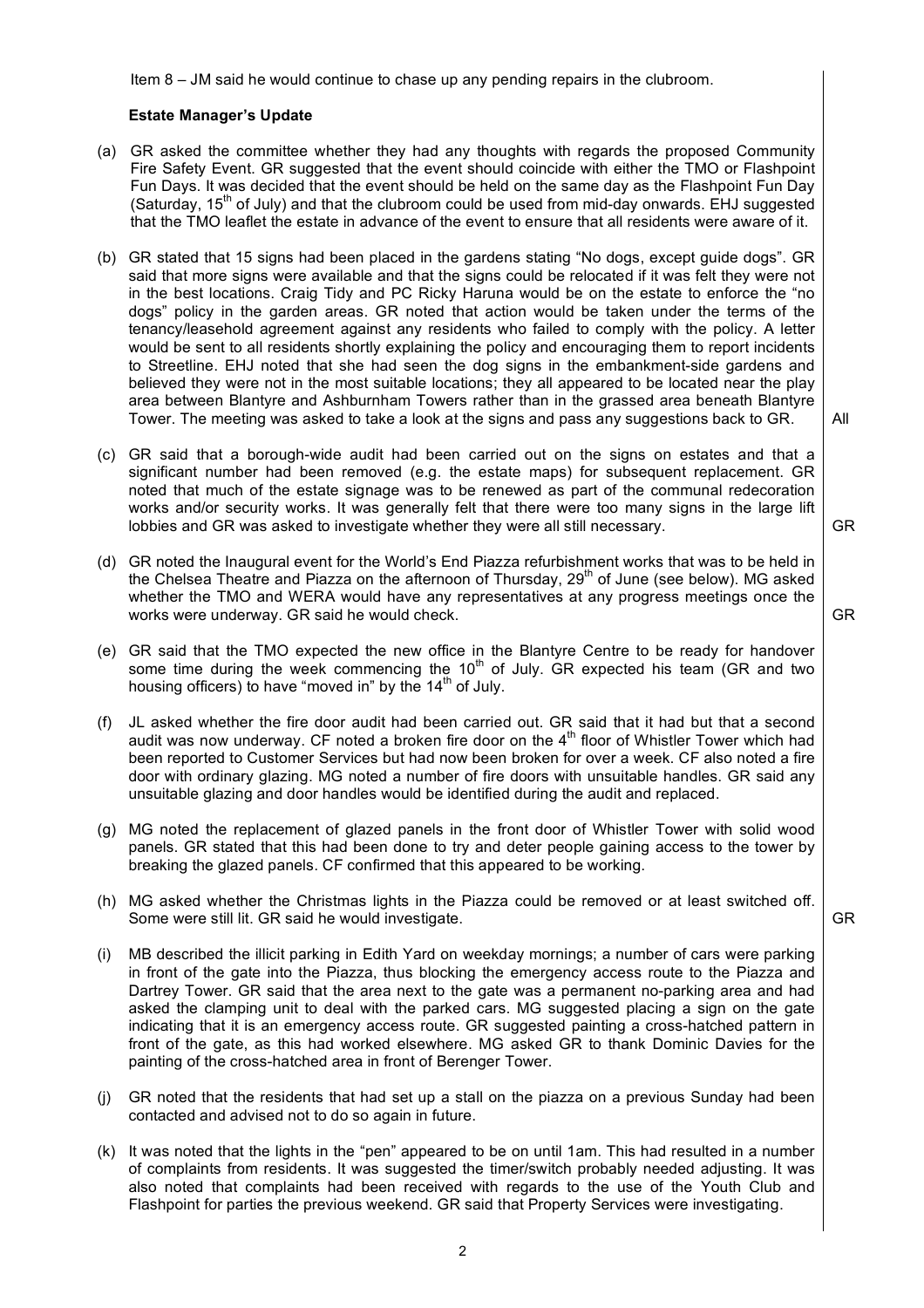Item 8 – JM said he would continue to chase up any pending repairs in the clubroom.

# **Estate Manager's Update**

- (a) GR asked the committee whether they had any thoughts with regards the proposed Community Fire Safety Event. GR suggested that the event should coincide with either the TMO or Flashpoint Fun Days. It was decided that the event should be held on the same day as the Flashpoint Fun Day (Saturday,  $15<sup>th</sup>$  of July) and that the clubroom could be used from mid-day onwards. EHJ suggested that the TMO leaflet the estate in advance of the event to ensure that all residents were aware of it.
- (b) GR stated that 15 signs had been placed in the gardens stating "No dogs, except guide dogs". GR said that more signs were available and that the signs could be relocated if it was felt they were not in the best locations. Craig Tidy and PC Ricky Haruna would be on the estate to enforce the "no dogs" policy in the garden areas. GR noted that action would be taken under the terms of the tenancy/leasehold agreement against any residents who failed to comply with the policy. A letter would be sent to all residents shortly explaining the policy and encouraging them to report incidents to Streetline. EHJ noted that she had seen the dog signs in the embankment-side gardens and believed they were not in the most suitable locations; they all appeared to be located near the play area between Blantyre and Ashburnham Towers rather than in the grassed area beneath Blantyre Tower. The meeting was asked to take a look at the signs and pass any suggestions back to GR.
- (c) GR said that a borough-wide audit had been carried out on the signs on estates and that a significant number had been removed (e.g. the estate maps) for subsequent replacement. GR noted that much of the estate signage was to be renewed as part of the communal redecoration works and/or security works. It was generally felt that there were too many signs in the large lift lobbies and GR was asked to investigate whether they were all still necessary.
- (d) GR noted the Inaugural event for the World's End Piazza refurbishment works that was to be held in the Chelsea Theatre and Piazza on the afternoon of Thursday,  $29<sup>th</sup>$  of June (see below). MG asked whether the TMO and WERA would have any representatives at any progress meetings once the works were underway. GR said he would check.
- (e) GR said that the TMO expected the new office in the Blantyre Centre to be ready for handover some time during the week commencing the  $10<sup>th</sup>$  of July. GR expected his team (GR and two housing officers) to have "moved in" by the  $14<sup>th</sup>$  of July.
- (f) JL asked whether the fire door audit had been carried out. GR said that it had but that a second audit was now underway. CF noted a broken fire door on the  $4<sup>th</sup>$  floor of Whistler Tower which had been reported to Customer Services but had now been broken for over a week. CF also noted a fire door with ordinary glazing. MG noted a number of fire doors with unsuitable handles. GR said any unsuitable glazing and door handles would be identified during the audit and replaced.
- (g) MG noted the replacement of glazed panels in the front door of Whistler Tower with solid wood panels. GR stated that this had been done to try and deter people gaining access to the tower by breaking the glazed panels. CF confirmed that this appeared to be working.
- (h) MG asked whether the Christmas lights in the Piazza could be removed or at least switched off. Some were still lit. GR said he would investigate.
- GR
- (i) MB described the illicit parking in Edith Yard on weekday mornings; a number of cars were parking in front of the gate into the Piazza, thus blocking the emergency access route to the Piazza and Dartrey Tower. GR said that the area next to the gate was a permanent no-parking area and had asked the clamping unit to deal with the parked cars. MG suggested placing a sign on the gate indicating that it is an emergency access route. GR suggested painting a cross-hatched pattern in front of the gate, as this had worked elsewhere. MG asked GR to thank Dominic Davies for the painting of the cross-hatched area in front of Berenger Tower.
- (j) GR noted that the residents that had set up a stall on the piazza on a previous Sunday had been contacted and advised not to do so again in future.
- (k) It was noted that the lights in the "pen" appeared to be on until 1am. This had resulted in a number of complaints from residents. It was suggested the timer/switch probably needed adjusting. It was also noted that complaints had been received with regards to the use of the Youth Club and Flashpoint for parties the previous weekend. GR said that Property Services were investigating.

All

GR

GR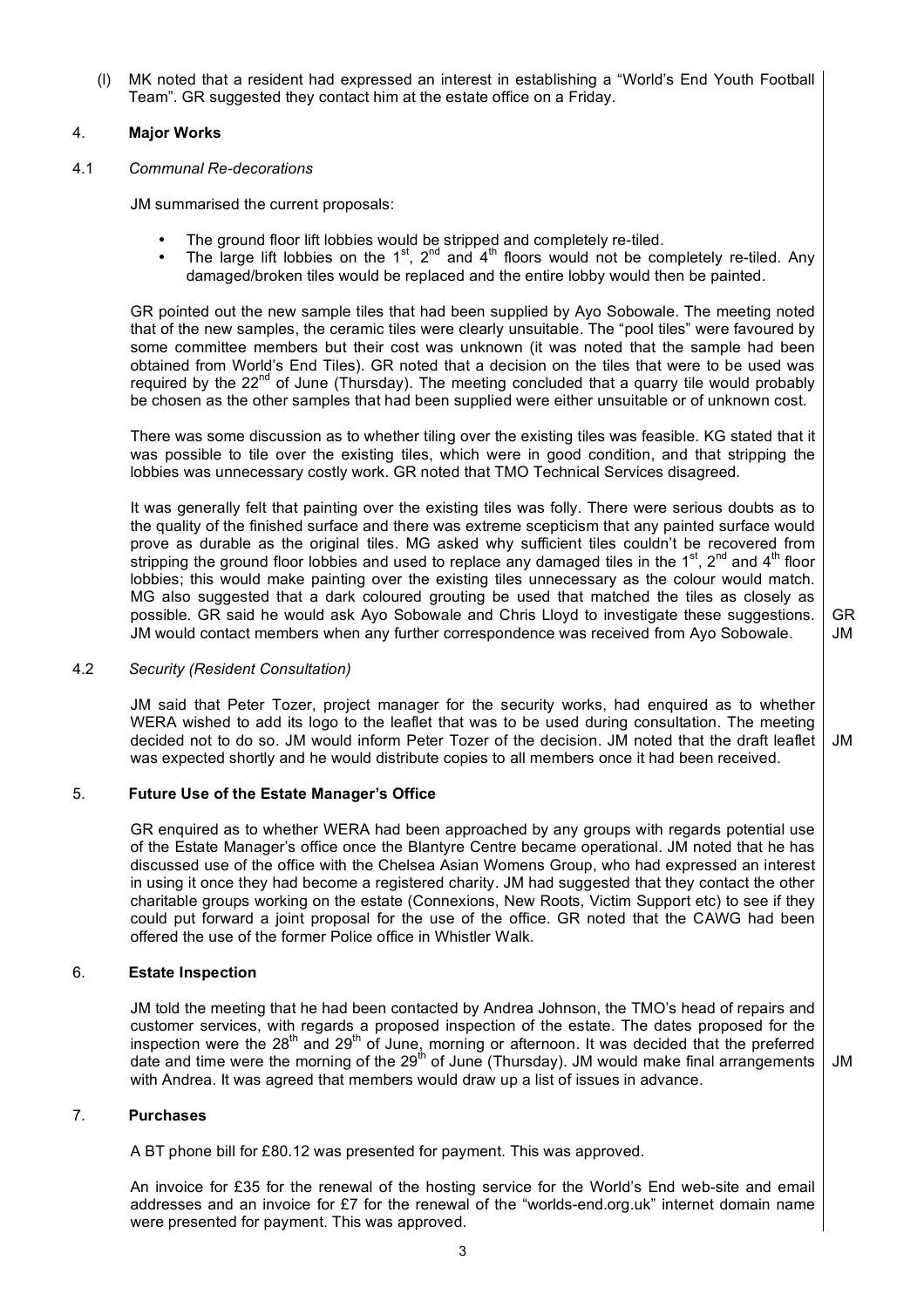(l) MK noted that a resident had expressed an interest in establishing a "World's End Youth Football Team". GR suggested they contact him at the estate office on a Friday.

# 4. **Major Works**

# 4.1 *Communal Re-decorations*

JM summarised the current proposals:

- The ground floor lift lobbies would be stripped and completely re-tiled.
- The large lift lobbies on the 1<sup>st</sup>, 2<sup>nd</sup> and 4<sup>th</sup> floors would not be completely re-tiled. Any damaged/broken tiles would be replaced and the entire lobby would then be painted.

GR pointed out the new sample tiles that had been supplied by Ayo Sobowale. The meeting noted that of the new samples, the ceramic tiles were clearly unsuitable. The "pool tiles" were favoured by some committee members but their cost was unknown (it was noted that the sample had been obtained from World's End Tiles). GR noted that a decision on the tiles that were to be used was required by the 22<sup>nd</sup> of June (Thursday). The meeting concluded that a quarry tile would probably be chosen as the other samples that had been supplied were either unsuitable or of unknown cost.

There was some discussion as to whether tiling over the existing tiles was feasible. KG stated that it was possible to tile over the existing tiles, which were in good condition, and that stripping the lobbies was unnecessary costly work. GR noted that TMO Technical Services disagreed.

It was generally felt that painting over the existing tiles was folly. There were serious doubts as to the quality of the finished surface and there was extreme scepticism that any painted surface would prove as durable as the original tiles. MG asked why sufficient tiles couldn't be recovered from stripping the ground floor lobbies and used to replace any damaged tiles in the 1<sup>st</sup>, 2<sup>nd</sup> and 4<sup>th</sup> floor lobbies; this would make painting over the existing tiles unnecessary as the colour would match. MG also suggested that a dark coloured grouting be used that matched the tiles as closely as possible. GR said he would ask Ayo Sobowale and Chris Lloyd to investigate these suggestions. JM would contact members when any further correspondence was received from Ayo Sobowale.

## 4.2 *Security (Resident Consultation)*

JM said that Peter Tozer, project manager for the security works, had enquired as to whether WERA wished to add its logo to the leaflet that was to be used during consultation. The meeting decided not to do so. JM would inform Peter Tozer of the decision. JM noted that the draft leaflet was expected shortly and he would distribute copies to all members once it had been received. JM

# 5. **Future Use of the Estate Manager's Office**

GR enquired as to whether WERA had been approached by any groups with regards potential use of the Estate Manager's office once the Blantyre Centre became operational. JM noted that he has discussed use of the office with the Chelsea Asian Womens Group, who had expressed an interest in using it once they had become a registered charity. JM had suggested that they contact the other charitable groups working on the estate (Connexions, New Roots, Victim Support etc) to see if they could put forward a joint proposal for the use of the office. GR noted that the CAWG had been offered the use of the former Police office in Whistler Walk.

# 6. **Estate Inspection**

JM told the meeting that he had been contacted by Andrea Johnson, the TMO's head of repairs and customer services, with regards a proposed inspection of the estate. The dates proposed for the inspection were the 28<sup>th</sup> and 29<sup>th</sup> of June, morning or afternoon. It was decided that the preferred date and time were the morning of the  $29<sup>th</sup>$  of June (Thursday). JM would make final arrangements with Andrea. It was agreed that members would draw up a list of issues in advance.

7. **Purchases**

A BT phone bill for £80.12 was presented for payment. This was approved.

An invoice for £35 for the renewal of the hosting service for the World's End web-site and email addresses and an invoice for £7 for the renewal of the "worlds-end.org.uk" internet domain name were presented for payment. This was approved.

3

GR JM

JM